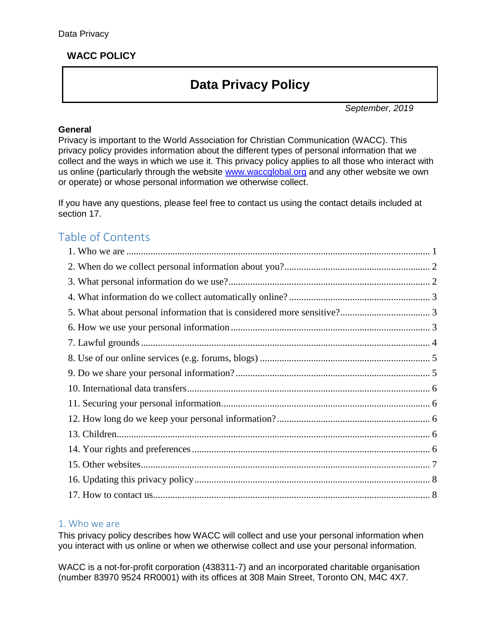# **WACC POLICY**

# **Data Privacy Policy**

*September, 2019*

#### **General**

Privacy is important to the World Association for Christian Communication (WACC). This privacy policy provides information about the different types of personal information that we collect and the ways in which we use it. This privacy policy applies to all those who interact with us online (particularly through the website [www.waccglobal.org](http://www.waccglobal.org/) and any other website we own or operate) or whose personal information we otherwise collect.

If you have any questions, please feel free to contact us using the contact details included at section 17.

# Table of Contents

#### <span id="page-0-0"></span>1. Who we are

This privacy policy describes how WACC will collect and use your personal information when you interact with us online or when we otherwise collect and use your personal information.

WACC is a not-for-profit corporation (438311-7) and an incorporated charitable organisation (number 83970 9524 RR0001) with its offices at 308 Main Street, Toronto ON, M4C 4X7.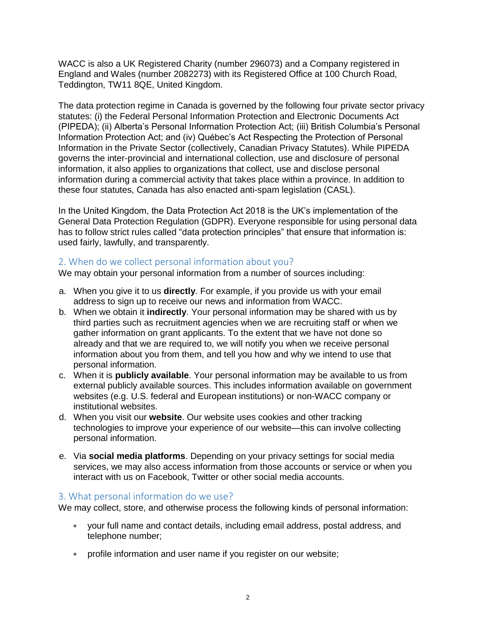WACC is also a UK Registered Charity (number 296073) and a Company registered in England and Wales (number 2082273) with its Registered Office at 100 Church Road, Teddington, TW11 8QE, United Kingdom.

The data protection regime in Canada is governed by the following four private sector privacy statutes: (i) the Federal Personal Information Protection and Electronic Documents Act (PIPEDA); (ii) Alberta's Personal Information Protection Act; (iii) British Columbia's Personal Information Protection Act; and (iv) Québec's Act Respecting the Protection of Personal Information in the Private Sector (collectively, Canadian Privacy Statutes). While PIPEDA governs the inter-provincial and international collection, use and disclosure of personal information, it also applies to organizations that collect, use and disclose personal information during a commercial activity that takes place within a province. In addition to these four statutes, Canada has also enacted anti-spam legislation (CASL).

In the United Kingdom, the Data Protection Act 2018 is the UK's implementation of the General Data Protection Regulation (GDPR). Everyone responsible for using personal data has to follow strict rules called "data protection principles" that ensure that information is: used fairly, lawfully, and transparently.

#### <span id="page-1-0"></span>2. When do we collect personal information about you?

We may obtain your personal information from a number of sources including:

- a. When you give it to us **directly**. For example, if you provide us with your email address to sign up to receive our news and information from WACC.
- b. When we obtain it **indirectly**. Your personal information may be shared with us by third parties such as recruitment agencies when we are recruiting staff or when we gather information on grant applicants. To the extent that we have not done so already and that we are required to, we will notify you when we receive personal information about you from them, and tell you how and why we intend to use that personal information.
- c. When it is **publicly available**. Your personal information may be available to us from external publicly available sources. This includes information available on government websites (e.g. U.S. federal and European institutions) or non-WACC company or institutional websites.
- d. When you visit our **website**. Our website uses cookies and other tracking technologies to improve your experience of our website—this can involve collecting personal information.
- e. Via **social media platforms**. Depending on your privacy settings for social media services, we may also access information from those accounts or service or when you interact with us on Facebook, Twitter or other social media accounts.

#### <span id="page-1-1"></span>3. What personal information do we use?

We may collect, store, and otherwise process the following kinds of personal information:

- your full name and contact details, including email address, postal address, and telephone number;
- profile information and user name if you register on our website;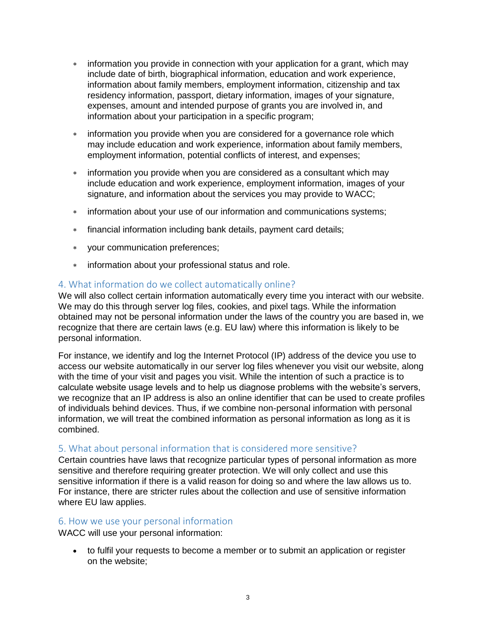- information you provide in connection with your application for a grant, which may include date of birth, biographical information, education and work experience, information about family members, employment information, citizenship and tax residency information, passport, dietary information, images of your signature, expenses, amount and intended purpose of grants you are involved in, and information about your participation in a specific program;
- information you provide when you are considered for a governance role which may include education and work experience, information about family members, employment information, potential conflicts of interest, and expenses;
- information you provide when you are considered as a consultant which may include education and work experience, employment information, images of your signature, and information about the services you may provide to WACC;
- information about your use of our information and communications systems;
- financial information including bank details, payment card details;
- your communication preferences;
- information about your professional status and role.

#### <span id="page-2-0"></span>4. What information do we collect automatically online?

We will also collect certain information automatically every time you interact with our website. We may do this through server log files, cookies, and pixel tags. While the information obtained may not be personal information under the laws of the country you are based in, we recognize that there are certain laws (e.g. EU law) where this information is likely to be personal information.

For instance, we identify and log the Internet Protocol (IP) address of the device you use to access our website automatically in our server log files whenever you visit our website, along with the time of your visit and pages you visit. While the intention of such a practice is to calculate website usage levels and to help us diagnose problems with the website's servers, we recognize that an IP address is also an online identifier that can be used to create profiles of individuals behind devices. Thus, if we combine non-personal information with personal information, we will treat the combined information as personal information as long as it is combined.

#### <span id="page-2-1"></span>5. What about personal information that is considered more sensitive?

Certain countries have laws that recognize particular types of personal information as more sensitive and therefore requiring greater protection. We will only collect and use this sensitive information if there is a valid reason for doing so and where the law allows us to. For instance, there are stricter rules about the collection and use of sensitive information where EU law applies.

#### <span id="page-2-2"></span>6. How we use your personal information

WACC will use your personal information:

 to fulfil your requests to become a member or to submit an application or register on the website;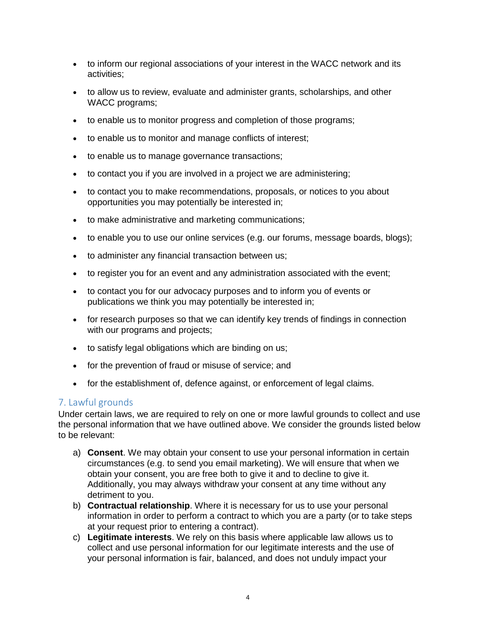- to inform our regional associations of your interest in the WACC network and its activities;
- to allow us to review, evaluate and administer grants, scholarships, and other WACC programs;
- to enable us to monitor progress and completion of those programs;
- to enable us to monitor and manage conflicts of interest;
- to enable us to manage governance transactions;
- to contact you if you are involved in a project we are administering;
- to contact you to make recommendations, proposals, or notices to you about opportunities you may potentially be interested in;
- to make administrative and marketing communications;
- to enable you to use our online services (e.g. our forums, message boards, blogs);
- to administer any financial transaction between us;
- to register you for an event and any administration associated with the event;
- to contact you for our advocacy purposes and to inform you of events or publications we think you may potentially be interested in;
- for research purposes so that we can identify key trends of findings in connection with our programs and projects;
- to satisfy legal obligations which are binding on us;
- for the prevention of fraud or misuse of service; and
- for the establishment of, defence against, or enforcement of legal claims.

### <span id="page-3-0"></span>7. Lawful grounds

Under certain laws, we are required to rely on one or more lawful grounds to collect and use the personal information that we have outlined above. We consider the grounds listed below to be relevant:

- a) **Consent**. We may obtain your consent to use your personal information in certain circumstances (e.g. to send you email marketing). We will ensure that when we obtain your consent, you are free both to give it and to decline to give it. Additionally, you may always withdraw your consent at any time without any detriment to you.
- b) **Contractual relationship**. Where it is necessary for us to use your personal information in order to perform a contract to which you are a party (or to take steps at your request prior to entering a contract).
- c) **Legitimate interests**. We rely on this basis where applicable law allows us to collect and use personal information for our legitimate interests and the use of your personal information is fair, balanced, and does not unduly impact your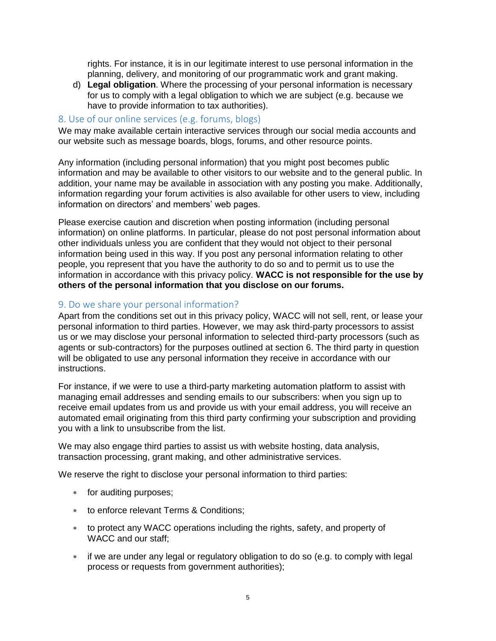<span id="page-4-0"></span>rights. For instance, it is in our legitimate interest to use personal information in the planning, delivery, and monitoring of our programmatic work and grant making.

d) **Legal obligation**. Where the processing of your personal information is necessary for us to comply with a legal obligation to which we are subject (e.g. because we have to provide information to tax authorities).

#### 8. Use of our online services (e.g. forums, blogs)

We may make available certain interactive services through our social media accounts and our website such as message boards, blogs, forums, and other resource points.

Any information (including personal information) that you might post becomes public information and may be available to other visitors to our website and to the general public. In addition, your name may be available in association with any posting you make. Additionally, information regarding your forum activities is also available for other users to view, including information on directors' and members' web pages.

Please exercise caution and discretion when posting information (including personal information) on online platforms. In particular, please do not post personal information about other individuals unless you are confident that they would not object to their personal information being used in this way. If you post any personal information relating to other people, you represent that you have the authority to do so and to permit us to use the information in accordance with this privacy policy. **WACC is not responsible for the use by others of the personal information that you disclose on our forums.**

#### <span id="page-4-1"></span>9. Do we share your personal information?

Apart from the conditions set out in this privacy policy, WACC will not sell, rent, or lease your personal information to third parties. However, we may ask third-party processors to assist us or we may disclose your personal information to selected third-party processors (such as agents or sub-contractors) for the purposes outlined at section 6. The third party in question will be obligated to use any personal information they receive in accordance with our instructions.

For instance, if we were to use a third-party marketing automation platform to assist with managing email addresses and sending emails to our subscribers: when you sign up to receive email updates from us and provide us with your email address, you will receive an automated email originating from this third party confirming your subscription and providing you with a link to unsubscribe from the list.

We may also engage third parties to assist us with website hosting, data analysis, transaction processing, grant making, and other administrative services.

We reserve the right to disclose your personal information to third parties:

- \* for auditing purposes;
- to enforce relevant Terms & Conditions;
- to protect any WACC operations including the rights, safety, and property of WACC and our staff;
- if we are under any legal or regulatory obligation to do so (e.g. to comply with legal process or requests from government authorities);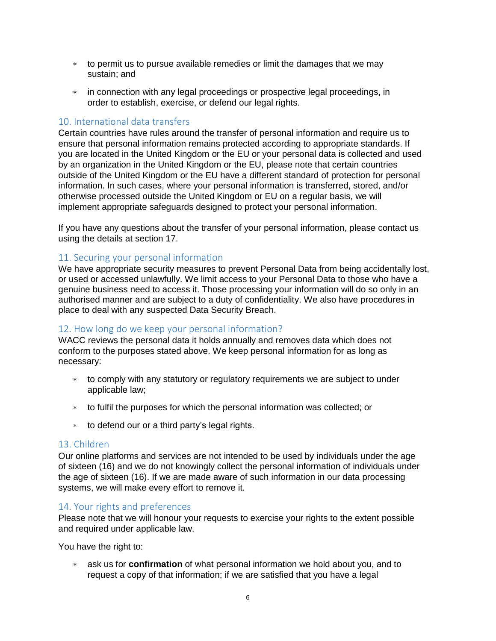- to permit us to pursue available remedies or limit the damages that we may sustain; and
- in connection with any legal proceedings or prospective legal proceedings, in order to establish, exercise, or defend our legal rights.

#### <span id="page-5-0"></span>10. International data transfers

Certain countries have rules around the transfer of personal information and require us to ensure that personal information remains protected according to appropriate standards. If you are located in the United Kingdom or the EU or your personal data is collected and used by an organization in the United Kingdom or the EU, please note that certain countries outside of the United Kingdom or the EU have a different standard of protection for personal information. In such cases, where your personal information is transferred, stored, and/or otherwise processed outside the United Kingdom or EU on a regular basis, we will implement appropriate safeguards designed to protect your personal information.

If you have any questions about the transfer of your personal information, please contact us using the details at section 17.

#### <span id="page-5-1"></span>11. Securing your personal information

We have appropriate security measures to prevent Personal Data from being accidentally lost, or used or accessed unlawfully. We limit access to your Personal Data to those who have a genuine business need to access it. Those processing your information will do so only in an authorised manner and are subject to a duty of confidentiality. We also have procedures in place to deal with any suspected Data Security Breach.

#### <span id="page-5-2"></span>12. How long do we keep your personal information?

WACC reviews the personal data it holds annually and removes data which does not conform to the purposes stated above. We keep personal information for as long as necessary:

- \* to comply with any statutory or regulatory requirements we are subject to under applicable law;
- to fulfil the purposes for which the personal information was collected; or
- to defend our or a third party's legal rights.

#### <span id="page-5-3"></span>13. Children

Our online platforms and services are not intended to be used by individuals under the age of sixteen (16) and we do not knowingly collect the personal information of individuals under the age of sixteen (16). If we are made aware of such information in our data processing systems, we will make every effort to remove it.

#### <span id="page-5-4"></span>14. Your rights and preferences

Please note that we will honour your requests to exercise your rights to the extent possible and required under applicable law.

You have the right to:

 ask us for **confirmation** of what personal information we hold about you, and to request a copy of that information; if we are satisfied that you have a legal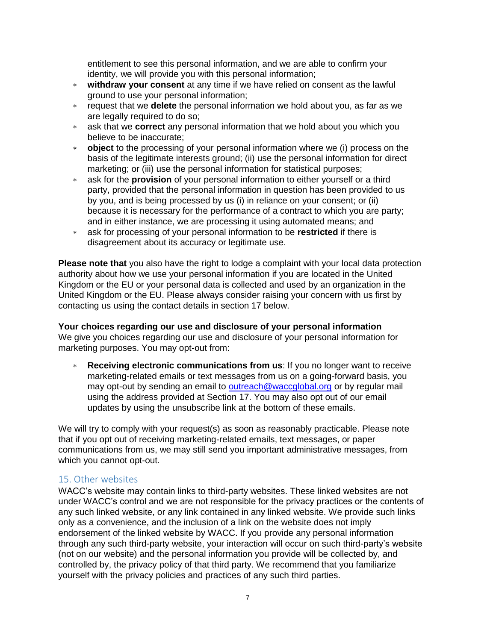entitlement to see this personal information, and we are able to confirm your identity, we will provide you with this personal information;

- **withdraw your consent** at any time if we have relied on consent as the lawful ground to use your personal information;
- request that we **delete** the personal information we hold about you, as far as we are legally required to do so;
- ask that we **correct** any personal information that we hold about you which you believe to be inaccurate;
- **object** to the processing of your personal information where we (i) process on the basis of the legitimate interests ground; (ii) use the personal information for direct marketing; or (iii) use the personal information for statistical purposes;
- ask for the **provision** of your personal information to either yourself or a third party, provided that the personal information in question has been provided to us by you, and is being processed by us (i) in reliance on your consent; or (ii) because it is necessary for the performance of a contract to which you are party; and in either instance, we are processing it using automated means; and
- ask for processing of your personal information to be **restricted** if there is disagreement about its accuracy or legitimate use.

**Please note that** you also have the right to lodge a complaint with your local data protection authority about how we use your personal information if you are located in the United Kingdom or the EU or your personal data is collected and used by an organization in the United Kingdom or the EU. Please always consider raising your concern with us first by contacting us using the contact details in section 17 below.

#### **Your choices regarding our use and disclosure of your personal information**

We give you choices regarding our use and disclosure of your personal information for marketing purposes. You may opt-out from:

 **Receiving electronic communications from us**: If you no longer want to receive marketing-related emails or text messages from us on a going-forward basis, you may opt-out by sending an email to [outreach@waccglobal.org](mailto:outreach@waccglobal.org) or by regular mail using the address provided at Section 17. You may also opt out of our email updates by using the unsubscribe link at the bottom of these emails.

We will try to comply with your request(s) as soon as reasonably practicable. Please note that if you opt out of receiving marketing-related emails, text messages, or paper communications from us, we may still send you important administrative messages, from which you cannot opt-out.

#### <span id="page-6-0"></span>15. Other websites

WACC's website may contain links to third-party websites. These linked websites are not under WACC's control and we are not responsible for the privacy practices or the contents of any such linked website, or any link contained in any linked website. We provide such links only as a convenience, and the inclusion of a link on the website does not imply endorsement of the linked website by WACC. If you provide any personal information through any such third-party website, your interaction will occur on such third-party's website (not on our website) and the personal information you provide will be collected by, and controlled by, the privacy policy of that third party. We recommend that you familiarize yourself with the privacy policies and practices of any such third parties.